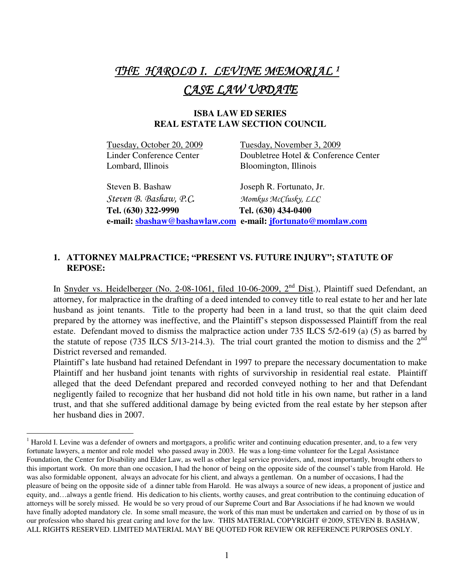# THE HAROLD I. LEVINE MEMORIAL <sup>1</sup> CASE LAW UPDATE

# **ISBA LAW ED SERIES REAL ESTATE LAW SECTION COUNCIL**

Lombard, Illinois Bloomington, Illinois

 $\overline{a}$ 

Tuesday, October 20, 2009 Tuesday, November 3, 2009 Linder Conference Center Doubletree Hotel & Conference Center

 Steven B. Bashaw Joseph R. Fortunato, Jr. Steven B. Bashaw, P.C. Momkus McClusky, LLC **Tel. (630) 322-9990 Tel. (630) 434-0400 e-mail: sbashaw@bashawlaw.com e-mail: jfortunato@momlaw.com**

# **1. ATTORNEY MALPRACTICE; "PRESENT VS. FUTURE INJURY"; STATUTE OF REPOSE:**

In Snyder vs. Heidelberger (No. 2-08-1061, filed 10-06-2009, 2<sup>nd</sup> Dist.), Plaintiff sued Defendant, an attorney, for malpractice in the drafting of a deed intended to convey title to real estate to her and her late husband as joint tenants. Title to the property had been in a land trust, so that the quit claim deed prepared by the attorney was ineffective, and the Plaintiff's stepson dispossessed Plaintiff from the real estate. Defendant moved to dismiss the malpractice action under 735 ILCS 5/2-619 (a) (5) as barred by the statute of repose (735 ILCS 5/13-214.3). The trial court granted the motion to dismiss and the  $2<sup>nd</sup>$ District reversed and remanded.

Plaintiff's late husband had retained Defendant in 1997 to prepare the necessary documentation to make Plaintiff and her husband joint tenants with rights of survivorship in residential real estate. Plaintiff alleged that the deed Defendant prepared and recorded conveyed nothing to her and that Defendant negligently failed to recognize that her husband did not hold title in his own name, but rather in a land trust, and that she suffered additional damage by being evicted from the real estate by her stepson after her husband dies in 2007.

<sup>&</sup>lt;sup>1</sup> Harold I. Levine was a defender of owners and mortgagors, a prolific writer and continuing education presenter, and, to a few very fortunate lawyers, a mentor and role model who passed away in 2003. He was a long-time volunteer for the Legal Assistance Foundation, the Center for Disability and Elder Law, as well as other legal service providers, and, most importantly, brought others to this important work. On more than one occasion, I had the honor of being on the opposite side of the counsel's table from Harold. He was also formidable opponent, always an advocate for his client, and always a gentleman. On a number of occasions, I had the pleasure of being on the opposite side of a dinner table from Harold. He was always a source of new ideas, a proponent of justice and equity, and…always a gentle friend. His dedication to his clients, worthy causes, and great contribution to the continuing education of attorneys will be sorely missed. He would be so very proud of our Supreme Court and Bar Associations if he had known we would have finally adopted mandatory cle. In some small measure, the work of this man must be undertaken and carried on by those of us in our profession who shared his great caring and love for the law. THIS MATERIAL COPYRIGHT @2009, STEVEN B. BASHAW, ALL RIGHTS RESERVED. LIMITED MATERIAL MAY BE QUOTED FOR REVIEW OR REFERENCE PURPOSES ONLY.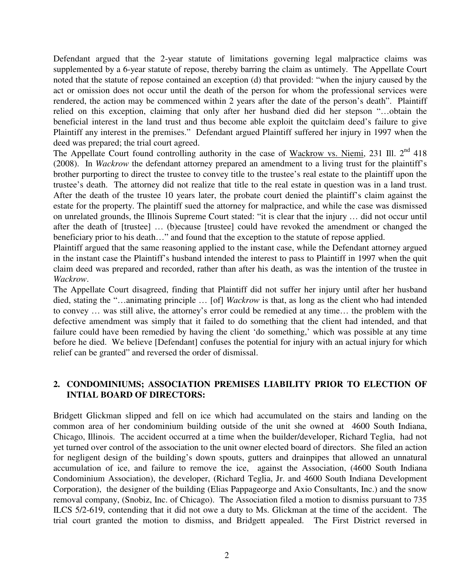Defendant argued that the 2-year statute of limitations governing legal malpractice claims was supplemented by a 6-year statute of repose, thereby barring the claim as untimely. The Appellate Court noted that the statute of repose contained an exception (d) that provided: "when the injury caused by the act or omission does not occur until the death of the person for whom the professional services were rendered, the action may be commenced within 2 years after the date of the person's death". Plaintiff relied on this exception, claiming that only after her husband died did her stepson "…obtain the beneficial interest in the land trust and thus become able exploit the quitclaim deed's failure to give Plaintiff any interest in the premises." Defendant argued Plaintiff suffered her injury in 1997 when the deed was prepared; the trial court agreed.

The Appellate Court found controlling authority in the case of Wackrow vs. Niemi, 231 Ill.  $2<sup>nd</sup>$  418 (2008). In *Wackrow* the defendant attorney prepared an amendment to a living trust for the plaintiff's brother purporting to direct the trustee to convey title to the trustee's real estate to the plaintiff upon the trustee's death. The attorney did not realize that title to the real estate in question was in a land trust. After the death of the trustee 10 years later, the probate court denied the plaintiff's claim against the estate for the property. The plaintiff sued the attorney for malpractice, and while the case was dismissed on unrelated grounds, the Illinois Supreme Court stated: "it is clear that the injury … did not occur until after the death of [trustee] … (b)ecause [trustee] could have revoked the amendment or changed the beneficiary prior to his death…" and found that the exception to the statute of repose applied.

Plaintiff argued that the same reasoning applied to the instant case, while the Defendant attorney argued in the instant case the Plaintiff's husband intended the interest to pass to Plaintiff in 1997 when the quit claim deed was prepared and recorded, rather than after his death, as was the intention of the trustee in *Wackrow*.

The Appellate Court disagreed, finding that Plaintiff did not suffer her injury until after her husband died, stating the "…animating principle … [of] *Wackrow* is that, as long as the client who had intended to convey … was still alive, the attorney's error could be remedied at any time… the problem with the defective amendment was simply that it failed to do something that the client had intended, and that failure could have been remedied by having the client 'do something,' which was possible at any time before he died. We believe [Defendant] confuses the potential for injury with an actual injury for which relief can be granted" and reversed the order of dismissal.

# **2. CONDOMINIUMS; ASSOCIATION PREMISES LIABILITY PRIOR TO ELECTION OF INTIAL BOARD OF DIRECTORS:**

Bridgett Glickman slipped and fell on ice which had accumulated on the stairs and landing on the common area of her condominium building outside of the unit she owned at 4600 South Indiana, Chicago, Illinois. The accident occurred at a time when the builder/developer, Richard Teglia, had not yet turned over control of the association to the unit owner elected board of directors. She filed an action for negligent design of the building's down spouts, gutters and drainpipes that allowed an unnatural accumulation of ice, and failure to remove the ice, against the Association, (4600 South Indiana Condominium Association), the developer, (Richard Teglia, Jr. and 4600 South Indiana Development Corporation), the designer of the building (Elias Pappageorge and Axio Consultants, Inc.) and the snow removal company, (Snobiz, Inc. of Chicago). The Association filed a motion to dismiss pursuant to 735 ILCS 5/2-619, contending that it did not owe a duty to Ms. Glickman at the time of the accident. The trial court granted the motion to dismiss, and Bridgett appealed. The First District reversed in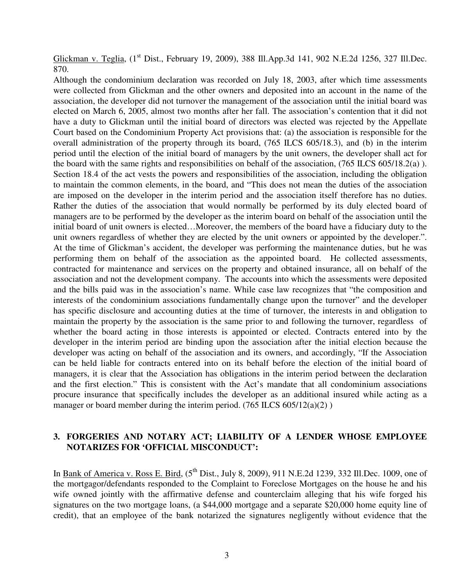Glickman v. Teglia, (1<sup>st</sup> Dist., February 19, 2009), 388 Ill.App.3d 141, 902 N.E.2d 1256, 327 Ill.Dec. 870.

Although the condominium declaration was recorded on July 18, 2003, after which time assessments were collected from Glickman and the other owners and deposited into an account in the name of the association, the developer did not turnover the management of the association until the initial board was elected on March 6, 2005, almost two months after her fall. The association's contention that it did not have a duty to Glickman until the initial board of directors was elected was rejected by the Appellate Court based on the Condominium Property Act provisions that: (a) the association is responsible for the overall administration of the property through its board, (765 ILCS 605/18.3), and (b) in the interim period until the election of the initial board of managers by the unit owners, the developer shall act for the board with the same rights and responsibilities on behalf of the association, (765 ILCS 605/18.2(a) ). Section 18.4 of the act vests the powers and responsibilities of the association, including the obligation to maintain the common elements, in the board, and "This does not mean the duties of the association are imposed on the developer in the interim period and the association itself therefore has no duties. Rather the duties of the association that would normally be performed by its duly elected board of managers are to be performed by the developer as the interim board on behalf of the association until the initial board of unit owners is elected…Moreover, the members of the board have a fiduciary duty to the unit owners regardless of whether they are elected by the unit owners or appointed by the developer.". At the time of Glickman's accident, the developer was performing the maintenance duties, but he was performing them on behalf of the association as the appointed board. He collected assessments, contracted for maintenance and services on the property and obtained insurance, all on behalf of the association and not the development company. The accounts into which the assessments were deposited and the bills paid was in the association's name. While case law recognizes that "the composition and interests of the condominium associations fundamentally change upon the turnover" and the developer has specific disclosure and accounting duties at the time of turnover, the interests in and obligation to maintain the property by the association is the same prior to and following the turnover, regardless of whether the board acting in those interests is appointed or elected. Contracts entered into by the developer in the interim period are binding upon the association after the initial election because the developer was acting on behalf of the association and its owners, and accordingly, "If the Association can be held liable for contracts entered into on its behalf before the election of the initial board of managers, it is clear that the Association has obligations in the interim period between the declaration and the first election." This is consistent with the Act's mandate that all condominium associations procure insurance that specifically includes the developer as an additional insured while acting as a manager or board member during the interim period.  $(765$  ILCS  $605/12(a)(2)$ )

## **3. FORGERIES AND NOTARY ACT; LIABILITY OF A LENDER WHOSE EMPLOYEE NOTARIZES FOR 'OFFICIAL MISCONDUCT':**

In Bank of America v. Ross E. Bird, (5<sup>th</sup> Dist., July 8, 2009), 911 N.E.2d 1239, 332 Ill.Dec. 1009, one of the mortgagor/defendants responded to the Complaint to Foreclose Mortgages on the house he and his wife owned jointly with the affirmative defense and counterclaim alleging that his wife forged his signatures on the two mortgage loans, (a \$44,000 mortgage and a separate \$20,000 home equity line of credit), that an employee of the bank notarized the signatures negligently without evidence that the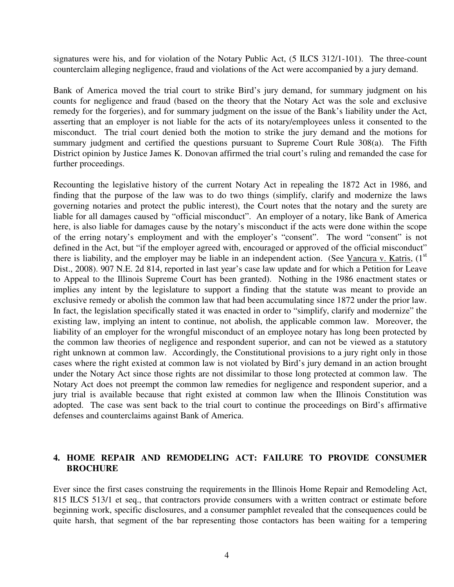signatures were his, and for violation of the Notary Public Act, (5 ILCS 312/1-101). The three-count counterclaim alleging negligence, fraud and violations of the Act were accompanied by a jury demand.

Bank of America moved the trial court to strike Bird's jury demand, for summary judgment on his counts for negligence and fraud (based on the theory that the Notary Act was the sole and exclusive remedy for the forgeries), and for summary judgment on the issue of the Bank's liability under the Act, asserting that an employer is not liable for the acts of its notary/employees unless it consented to the misconduct. The trial court denied both the motion to strike the jury demand and the motions for summary judgment and certified the questions pursuant to Supreme Court Rule 308(a). The Fifth District opinion by Justice James K. Donovan affirmed the trial court's ruling and remanded the case for further proceedings.

Recounting the legislative history of the current Notary Act in repealing the 1872 Act in 1986, and finding that the purpose of the law was to do two things (simplify, clarify and modernize the laws governing notaries and protect the public interest), the Court notes that the notary and the surety are liable for all damages caused by "official misconduct". An employer of a notary, like Bank of America here, is also liable for damages cause by the notary's misconduct if the acts were done within the scope of the erring notary's employment and with the employer's "consent". The word "consent" is not defined in the Act, but "if the employer agreed with, encouraged or approved of the official misconduct" there is liability, and the employer may be liable in an independent action. (See Vancura v. Katris,  $(1<sup>st</sup>$ Dist., 2008). 907 N.E. 2d 814, reported in last year's case law update and for which a Petition for Leave to Appeal to the Illinois Supreme Court has been granted). Nothing in the 1986 enactment states or implies any intent by the legislature to support a finding that the statute was meant to provide an exclusive remedy or abolish the common law that had been accumulating since 1872 under the prior law. In fact, the legislation specifically stated it was enacted in order to "simplify, clarify and modernize" the existing law, implying an intent to continue, not abolish, the applicable common law. Moreover, the liability of an employer for the wrongful misconduct of an employee notary has long been protected by the common law theories of negligence and respondent superior, and can not be viewed as a statutory right unknown at common law. Accordingly, the Constitutional provisions to a jury right only in those cases where the right existed at common law is not violated by Bird's jury demand in an action brought under the Notary Act since those rights are not dissimilar to those long protected at common law. The Notary Act does not preempt the common law remedies for negligence and respondent superior, and a jury trial is available because that right existed at common law when the Illinois Constitution was adopted. The case was sent back to the trial court to continue the proceedings on Bird's affirmative defenses and counterclaims against Bank of America.

# **4. HOME REPAIR AND REMODELING ACT: FAILURE TO PROVIDE CONSUMER BROCHURE**

Ever since the first cases construing the requirements in the Illinois Home Repair and Remodeling Act, 815 ILCS 513/1 et seq., that contractors provide consumers with a written contract or estimate before beginning work, specific disclosures, and a consumer pamphlet revealed that the consequences could be quite harsh, that segment of the bar representing those contactors has been waiting for a tempering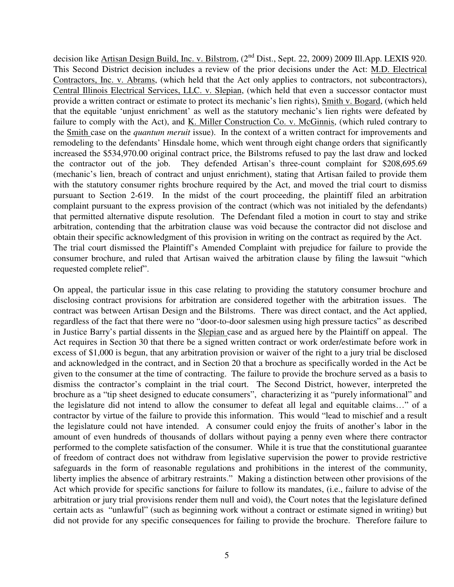decision like Artisan Design Build, Inc. v. Bilstrom, (2<sup>nd</sup> Dist., Sept. 22, 2009) 2009 Ill.App. LEXIS 920. This Second District decision includes a review of the prior decisions under the Act: M.D. Electrical Contractors, Inc. v. Abrams, (which held that the Act only applies to contractors, not subcontractors), Central Illinois Electrical Services, LLC. v. Slepian, (which held that even a successor contactor must provide a written contract or estimate to protect its mechanic's lien rights), Smith v. Bogard, (which held that the equitable 'unjust enrichment' as well as the statutory mechanic's lien rights were defeated by failure to comply with the Act), and K. Miller Construction Co. v. McGinnis, (which ruled contrary to the Smith case on the *quantum meruit* issue). In the context of a written contract for improvements and remodeling to the defendants' Hinsdale home, which went through eight change orders that significantly increased the \$534,970.00 original contract price, the Bilstroms refused to pay the last draw and locked the contractor out of the job. They defended Artisan's three-count complaint for \$208,695.69 (mechanic's lien, breach of contract and unjust enrichment), stating that Artisan failed to provide them with the statutory consumer rights brochure required by the Act, and moved the trial court to dismiss pursuant to Section 2-619. In the midst of the court proceeding, the plaintiff filed an arbitration complaint pursuant to the express provision of the contract (which was not initialed by the defendants) that permitted alternative dispute resolution. The Defendant filed a motion in court to stay and strike arbitration, contending that the arbitration clause was void because the contractor did not disclose and obtain their specific acknowledgment of this provision in writing on the contract as required by the Act. The trial court dismissed the Plaintiff's Amended Complaint with prejudice for failure to provide the consumer brochure, and ruled that Artisan waived the arbitration clause by filing the lawsuit "which requested complete relief".

On appeal, the particular issue in this case relating to providing the statutory consumer brochure and disclosing contract provisions for arbitration are considered together with the arbitration issues. The contract was between Artisan Design and the Bilstroms. There was direct contact, and the Act applied, regardless of the fact that there were no "door-to-door salesmen using high pressure tactics" as described in Justice Barry's partial dissents in the Slepian case and as argued here by the Plaintiff on appeal. The Act requires in Section 30 that there be a signed written contract or work order/estimate before work in excess of \$1,000 is begun, that any arbitration provision or waiver of the right to a jury trial be disclosed and acknowledged in the contract, and in Section 20 that a brochure as specifically worded in the Act be given to the consumer at the time of contracting. The failure to provide the brochure served as a basis to dismiss the contractor's complaint in the trial court. The Second District, however, interpreted the brochure as a "tip sheet designed to educate consumers", characterizing it as "purely informational" and the legislature did not intend to allow the consumer to defeat all legal and equitable claims…" of a contractor by virtue of the failure to provide this information. This would "lead to mischief and a result the legislature could not have intended. A consumer could enjoy the fruits of another's labor in the amount of even hundreds of thousands of dollars without paying a penny even where there contractor performed to the complete satisfaction of the consumer. While it is true that the constitutional guarantee of freedom of contract does not withdraw from legislative supervision the power to provide restrictive safeguards in the form of reasonable regulations and prohibitions in the interest of the community, liberty implies the absence of arbitrary restraints." Making a distinction between other provisions of the Act which provide for specific sanctions for failure to follow its mandates, (i.e., failure to advise of the arbitration or jury trial provisions render them null and void), the Court notes that the legislature defined certain acts as "unlawful" (such as beginning work without a contract or estimate signed in writing) but did not provide for any specific consequences for failing to provide the brochure. Therefore failure to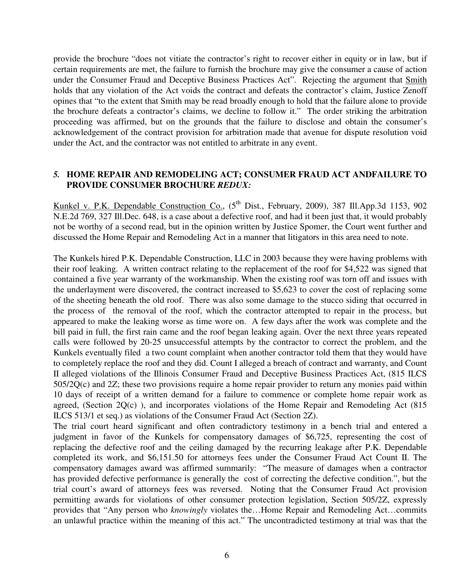provide the brochure "does not vitiate the contractor's right to recover either in equity or in law, but if certain requirements are met, the failure to furnish the brochure may give the consumer a cause of action under the Consumer Fraud and Deceptive Business Practices Act". Rejecting the argument that Smith holds that any violation of the Act voids the contract and defeats the contractor's claim, Justice Zenoff opines that "to the extent that Smith may be read broadly enough to hold that the failure alone to provide the brochure defeats a contractor's claims, we decline to follow it." The order striking the arbitration proceeding was affirmed, but on the grounds that the failure to disclose and obtain the consumer's acknowledgement of the contract provision for arbitration made that avenue for dispute resolution void under the Act, and the contractor was not entitled to arbitrate in any event.

## *5.* **HOME REPAIR AND REMODELING ACT; CONSUMER FRAUD ACT ANDFAILURE TO PROVIDE CONSUMER BROCHURE** *REDUX:*

Kunkel v. P.K. Dependable Construction Co., (5<sup>th</sup> Dist., February, 2009), 387 Ill.App.3d 1153, 902 N.E.2d 769, 327 Ill.Dec. 648, is a case about a defective roof, and had it been just that, it would probably not be worthy of a second read, but in the opinion written by Justice Spomer, the Court went further and discussed the Home Repair and Remodeling Act in a manner that litigators in this area need to note.

The Kunkels hired P.K. Dependable Construction, LLC in 2003 because they were having problems with their roof leaking. A written contract relating to the replacement of the roof for \$4,522 was signed that contained a five year warranty of the workmanship. When the existing roof was torn off and issues with the underlayment were discovered, the contract increased to \$5,623 to cover the cost of replacing some of the sheeting beneath the old roof. There was also some damage to the stucco siding that occurred in the process of the removal of the roof, which the contractor attempted to repair in the process, but appeared to make the leaking worse as time wore on. A few days after the work was complete and the bill paid in full, the first rain came and the roof began leaking again. Over the next three years repeated calls were followed by 20-25 unsuccessful attempts by the contractor to correct the problem, and the Kunkels eventually filed a two count complaint when another contractor told them that they would have to completely replace the roof and they did. Count I alleged a breach of contract and warranty, and Count II alleged violations of the Illinois Consumer Fraud and Deceptive Business Practices Act, (815 ILCS 505/2Q(c) and 2Z; these two provisions require a home repair provider to return any monies paid within 10 days of receipt of a written demand for a failure to commence or complete home repair work as agreed, (Section 2Q(c) ), and incorporates violations of the Home Repair and Remodeling Act (815 ILCS 513/1 et seq.) as violations of the Consumer Fraud Act (Section 2Z).

The trial court heard significant and often contradictory testimony in a bench trial and entered a judgment in favor of the Kunkels for compensatory damages of \$6,725, representing the cost of replacing the defective roof and the ceiling damaged by the recurring leakage after P.K. Dependable completed its work, and \$6,151.50 for attorneys fees under the Consumer Fraud Act Count II. The compensatory damages award was affirmed summarily: "The measure of damages when a contractor has provided defective performance is generally the cost of correcting the defective condition.", but the trial court's award of attorneys fees was reversed. Noting that the Consumer Fraud Act provision permitting awards for violations of other consumer protection legislation, Section 505/2Z, expressly provides that "Any person who *knowingly* violates the…Home Repair and Remodeling Act…commits an unlawful practice within the meaning of this act." The uncontradicted testimony at trial was that the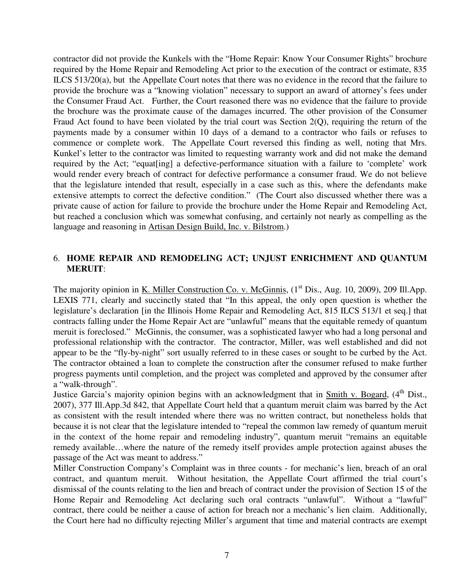contractor did not provide the Kunkels with the "Home Repair: Know Your Consumer Rights" brochure required by the Home Repair and Remodeling Act prior to the execution of the contract or estimate, 835 ILCS 513/20(a), but the Appellate Court notes that there was no evidence in the record that the failure to provide the brochure was a "knowing violation" necessary to support an award of attorney's fees under the Consumer Fraud Act. Further, the Court reasoned there was no evidence that the failure to provide the brochure was the proximate cause of the damages incurred. The other provision of the Consumer Fraud Act found to have been violated by the trial court was Section 2(Q), requiring the return of the payments made by a consumer within 10 days of a demand to a contractor who fails or refuses to commence or complete work. The Appellate Court reversed this finding as well, noting that Mrs. Kunkel's letter to the contractor was limited to requesting warranty work and did not make the demand required by the Act; "equat[ing] a defective-performance situation with a failure to 'complete' work would render every breach of contract for defective performance a consumer fraud. We do not believe that the legislature intended that result, especially in a case such as this, where the defendants make extensive attempts to correct the defective condition." (The Court also discussed whether there was a private cause of action for failure to provide the brochure under the Home Repair and Remodeling Act, but reached a conclusion which was somewhat confusing, and certainly not nearly as compelling as the language and reasoning in Artisan Design Build, Inc. v. Bilstrom.)

# 6. **HOME REPAIR AND REMODELING ACT; UNJUST ENRICHMENT AND QUANTUM MERUIT**:

The majority opinion in K. Miller Construction Co. v. McGinnis,  $(1<sup>st</sup> Dis., Aug. 10, 2009), 209$  Ill.App. LEXIS 771, clearly and succinctly stated that "In this appeal, the only open question is whether the legislature's declaration [in the Illinois Home Repair and Remodeling Act, 815 ILCS 513/1 et seq.] that contracts falling under the Home Repair Act are "unlawful" means that the equitable remedy of quantum meruit is foreclosed." McGinnis, the consumer, was a sophisticated lawyer who had a long personal and professional relationship with the contractor. The contractor, Miller, was well established and did not appear to be the "fly-by-night" sort usually referred to in these cases or sought to be curbed by the Act. The contractor obtained a loan to complete the construction after the consumer refused to make further progress payments until completion, and the project was completed and approved by the consumer after a "walk-through".

Justice Garcia's majority opinion begins with an acknowledgment that in Smith v. Bogard,  $(4<sup>th</sup> Dist.)$ 2007), 377 Ill.App.3d 842, that Appellate Court held that a quantum meruit claim was barred by the Act as consistent with the result intended where there was no written contract, but nonetheless holds that because it is not clear that the legislature intended to "repeal the common law remedy of quantum meruit in the context of the home repair and remodeling industry", quantum meruit "remains an equitable remedy available…where the nature of the remedy itself provides ample protection against abuses the passage of the Act was meant to address."

Miller Construction Company's Complaint was in three counts - for mechanic's lien, breach of an oral contract, and quantum meruit. Without hesitation, the Appellate Court affirmed the trial court's dismissal of the counts relating to the lien and breach of contract under the provision of Section 15 of the Home Repair and Remodeling Act declaring such oral contracts "unlawful". Without a "lawful" contract, there could be neither a cause of action for breach nor a mechanic's lien claim. Additionally, the Court here had no difficulty rejecting Miller's argument that time and material contracts are exempt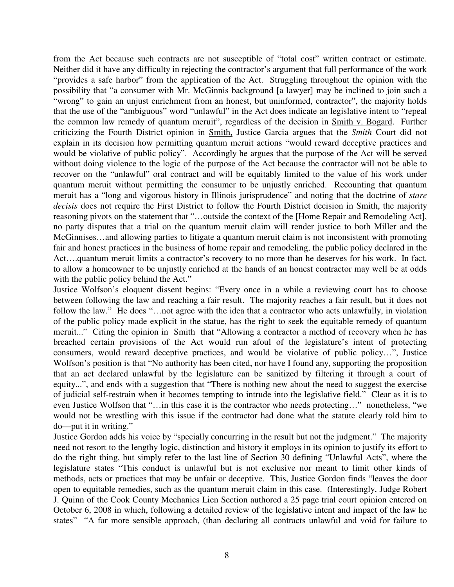from the Act because such contracts are not susceptible of "total cost" written contract or estimate. Neither did it have any difficulty in rejecting the contractor's argument that full performance of the work "provides a safe harbor" from the application of the Act. Struggling throughout the opinion with the possibility that "a consumer with Mr. McGinnis background [a lawyer] may be inclined to join such a "wrong" to gain an unjust enrichment from an honest, but uninformed, contractor", the majority holds that the use of the "ambiguous" word "unlawful" in the Act does indicate an legislative intent to "repeal the common law remedy of quantum meruit", regardless of the decision in Smith v. Bogard. Further criticizing the Fourth District opinion in Smith, Justice Garcia argues that the *Smith* Court did not explain in its decision how permitting quantum meruit actions "would reward deceptive practices and would be violative of public policy". Accordingly he argues that the purpose of the Act will be served without doing violence to the logic of the purpose of the Act because the contractor will not be able to recover on the "unlawful" oral contract and will be equitably limited to the value of his work under quantum meruit without permitting the consumer to be unjustly enriched. Recounting that quantum meruit has a "long and vigorous history in Illinois jurisprudence" and noting that the doctrine of *stare decisis* does not require the First District to follow the Fourth District decision in Smith, the majority reasoning pivots on the statement that "…outside the context of the [Home Repair and Remodeling Act], no party disputes that a trial on the quantum meruit claim will render justice to both Miller and the McGinnises…and allowing parties to litigate a quantum meruit claim is not inconsistent with promoting fair and honest practices in the business of home repair and remodeling, the public policy declared in the Act….quantum meruit limits a contractor's recovery to no more than he deserves for his work. In fact, to allow a homeowner to be unjustly enriched at the hands of an honest contractor may well be at odds with the public policy behind the Act."

Justice Wolfson's eloquent dissent begins: "Every once in a while a reviewing court has to choose between following the law and reaching a fair result. The majority reaches a fair result, but it does not follow the law." He does "...not agree with the idea that a contractor who acts unlawfully, in violation of the public policy made explicit in the statue, has the right to seek the equitable remedy of quantum meruit..." Citing the opinion in Smith that "Allowing a contractor a method of recovery when he has breached certain provisions of the Act would run afoul of the legislature's intent of protecting consumers, would reward deceptive practices, and would be violative of public policy…", Justice Wolfson's position is that "No authority has been cited, nor have I found any, supporting the proposition that an act declared unlawful by the legislature can be sanitized by filtering it through a court of equity...", and ends with a suggestion that "There is nothing new about the need to suggest the exercise of judicial self-restrain when it becomes tempting to intrude into the legislative field." Clear as it is to even Justice Wolfson that "…in this case it is the contractor who needs protecting…" nonetheless, "we would not be wrestling with this issue if the contractor had done what the statute clearly told him to do—put it in writing."

Justice Gordon adds his voice by "specially concurring in the result but not the judgment." The majority need not resort to the lengthy logic, distinction and history it employs in its opinion to justify its effort to do the right thing, but simply refer to the last line of Section 30 defining "Unlawful Acts", where the legislature states "This conduct is unlawful but is not exclusive nor meant to limit other kinds of methods, acts or practices that may be unfair or deceptive. This, Justice Gordon finds "leaves the door open to equitable remedies, such as the quantum meruit claim in this case. (Interestingly, Judge Robert J. Quinn of the Cook County Mechanics Lien Section authored a 25 page trial court opinion entered on October 6, 2008 in which, following a detailed review of the legislative intent and impact of the law he states" "A far more sensible approach, (than declaring all contracts unlawful and void for failure to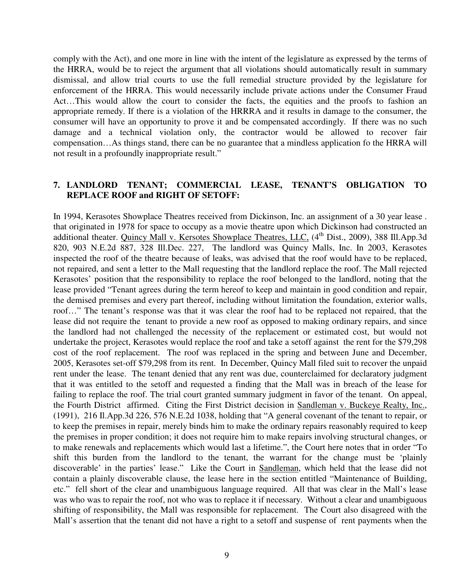comply with the Act), and one more in line with the intent of the legislature as expressed by the terms of the HRRA, would be to reject the argument that all violations should automatically result in summary dismissal, and allow trial courts to use the full remedial structure provided by the legislature for enforcement of the HRRA. This would necessarily include private actions under the Consumer Fraud Act…This would allow the court to consider the facts, the equities and the proofs to fashion an appropriate remedy. If there is a violation of the HRRRA and it results in damage to the consumer, the consumer will have an opportunity to prove it and be compensated accordingly. If there was no such damage and a technical violation only, the contractor would be allowed to recover fair compensation…As things stand, there can be no guarantee that a mindless application fo the HRRA will not result in a profoundly inappropriate result."

## **7. LANDLORD TENANT; COMMERCIAL LEASE, TENANT'S OBLIGATION TO REPLACE ROOF and RIGHT OF SETOFF:**

In 1994, Kerasotes Showplace Theatres received from Dickinson, Inc. an assignment of a 30 year lease . that originated in 1978 for space to occupy as a movie theatre upon which Dickinson had constructed an additional theater. Quincy Mall v. Kersotes Showplace Theatres, LLC, (4<sup>th</sup> Dist., 2009), 388 Ill.App.3d 820, 903 N.E.2d 887, 328 Ill.Dec. 227, The landlord was Quincy Malls, Inc. In 2003, Kerasotes inspected the roof of the theatre because of leaks, was advised that the roof would have to be replaced, not repaired, and sent a letter to the Mall requesting that the landlord replace the roof. The Mall rejected Kerasotes' position that the responsibility to replace the roof belonged to the landlord, noting that the lease provided "Tenant agrees during the term hereof to keep and maintain in good condition and repair, the demised premises and every part thereof, including without limitation the foundation, exterior walls, roof…" The tenant's response was that it was clear the roof had to be replaced not repaired, that the lease did not require the tenant to provide a new roof as opposed to making ordinary repairs, and since the landlord had not challenged the necessity of the replacement or estimated cost, but would not undertake the project, Kerasotes would replace the roof and take a setoff against the rent for the \$79,298 cost of the roof replacement. The roof was replaced in the spring and between June and December, 2005, Kerasotes set-off \$79,298 from its rent. In December, Quincy Mall filed suit to recover the unpaid rent under the lease. The tenant denied that any rent was due, counterclaimed for declaratory judgment that it was entitled to the setoff and requested a finding that the Mall was in breach of the lease for failing to replace the roof. The trial court granted summary judgment in favor of the tenant. On appeal, the Fourth District affirmed. Citing the First District decision in Sandleman v. Buckeye Realty, Inc., (1991), 216 Il.App.3d 226, 576 N.E.2d 1038, holding that "A general covenant of the tenant to repair, or to keep the premises in repair, merely binds him to make the ordinary repairs reasonably required to keep the premises in proper condition; it does not require him to make repairs involving structural changes, or to make renewals and replacements which would last a lifetime.", the Court here notes that in order "To shift this burden from the landlord to the tenant, the warrant for the change must be 'plainly discoverable' in the parties' lease." Like the Court in Sandleman, which held that the lease did not contain a plainly discoverable clause, the lease here in the section entitled "Maintenance of Building, etc." fell short of the clear and unambiguous language required. All that was clear in the Mall's lease was who was to repair the roof, not who was to replace it if necessary. Without a clear and unambiguous shifting of responsibility, the Mall was responsible for replacement. The Court also disagreed with the Mall's assertion that the tenant did not have a right to a setoff and suspense of rent payments when the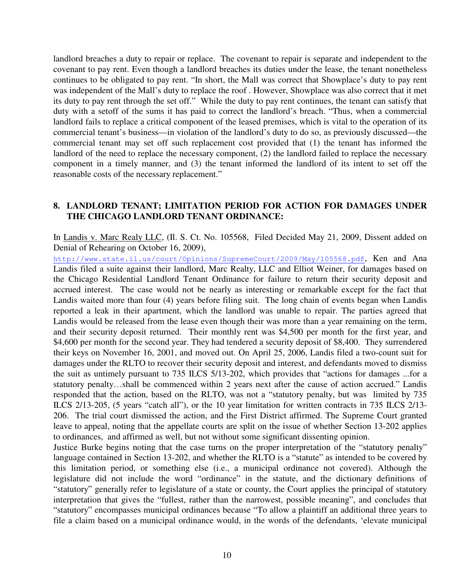landlord breaches a duty to repair or replace. The covenant to repair is separate and independent to the covenant to pay rent. Even though a landlord breaches its duties under the lease, the tenant nonetheless continues to be obligated to pay rent. "In short, the Mall was correct that Showplace's duty to pay rent was independent of the Mall's duty to replace the roof . However, Showplace was also correct that it met its duty to pay rent through the set off." While the duty to pay rent continues, the tenant can satisfy that duty with a setoff of the sums it has paid to correct the landlord's breach. "Thus, when a commercial landlord fails to replace a critical component of the leased premises, which is vital to the operation of its commercial tenant's business—in violation of the landlord's duty to do so, as previously discussed—the commercial tenant may set off such replacement cost provided that (1) the tenant has informed the landlord of the need to replace the necessary component, (2) the landlord failed to replace the necessary component in a timely manner, and (3) the tenant informed the landlord of its intent to set off the reasonable costs of the necessary replacement."

#### **8. LANDLORD TENANT; LIMITATION PERIOD FOR ACTION FOR DAMAGES UNDER THE CHICAGO LANDLORD TENANT ORDINANCE:**

In Landis v. Marc Realy LLC, (Il. S. Ct. No. 105568, Filed Decided May 21, 2009, Dissent added on Denial of Rehearing on October 16, 2009),

http://www.state.il.us/court/Opinions/SupremeCourt/2009/May/105568.pdf, Ken and Ana Landis filed a suite against their landlord, Marc Realty, LLC and Elliot Weiner, for damages based on the Chicago Residential Landlord Tenant Ordinance for failure to return their security deposit and accrued interest. The case would not be nearly as interesting or remarkable except for the fact that Landis waited more than four (4) years before filing suit. The long chain of events began when Landis reported a leak in their apartment, which the landlord was unable to repair. The parties agreed that Landis would be released from the lease even though their was more than a year remaining on the term, and their security deposit returned. Their monthly rent was \$4,500 per month for the first year, and \$4,600 per month for the second year. They had tendered a security deposit of \$8,400. They surrendered their keys on November 16, 2001, and moved out. On April 25, 2006, Landis filed a two-count suit for damages under the RLTO to recover their security deposit and interest, and defendants moved to dismiss the suit as untimely pursuant to 735 ILCS 5/13-202, which provides that "actions for damages ...for a statutory penalty…shall be commenced within 2 years next after the cause of action accrued." Landis responded that the action, based on the RLTO, was not a "statutory penalty, but was limited by 735 ILCS 2/13-205, (5 years "catch all"), or the 10 year limitation for written contracts in 735 ILCS 2/13- 206. The trial court dismissed the action, and the First District affirmed. The Supreme Court granted leave to appeal, noting that the appellate courts are split on the issue of whether Section 13-202 applies to ordinances, and affirmed as well, but not without some significant dissenting opinion.

Justice Burke begins noting that the case turns on the proper interpretation of the "statutory penalty" language contained in Section 13-202, and whether the RLTO is a "statute" as intended to be covered by this limitation period, or something else (i.e., a municipal ordinance not covered). Although the legislature did not include the word "ordinance" in the statute, and the dictionary definitions of "statutory" generally refer to legislature of a state or county, the Court applies the principal of statutory interpretation that gives the "fullest, rather than the narrowest, possible meaning", and concludes that "statutory" encompasses municipal ordinances because "To allow a plaintiff an additional three years to file a claim based on a municipal ordinance would, in the words of the defendants, 'elevate municipal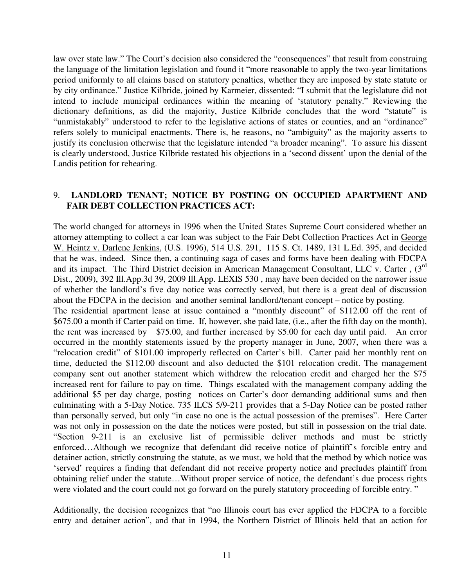law over state law." The Court's decision also considered the "consequences" that result from construing the language of the limitation legislation and found it "more reasonable to apply the two-year limitations period uniformly to all claims based on statutory penalties, whether they are imposed by state statute or by city ordinance." Justice Kilbride, joined by Karmeier, dissented: "I submit that the legislature did not intend to include municipal ordinances within the meaning of 'statutory penalty." Reviewing the dictionary definitions, as did the majority, Justice Kilbride concludes that the word "statute" is "unmistakably" understood to refer to the legislative actions of states or counties, and an "ordinance" refers solely to municipal enactments. There is, he reasons, no "ambiguity" as the majority asserts to justify its conclusion otherwise that the legislature intended "a broader meaning". To assure his dissent is clearly understood, Justice Kilbride restated his objections in a 'second dissent' upon the denial of the Landis petition for rehearing.

# 9. **LANDLORD TENANT; NOTICE BY POSTING ON OCCUPIED APARTMENT AND FAIR DEBT COLLECTION PRACTICES ACT:**

The world changed for attorneys in 1996 when the United States Supreme Court considered whether an attorney attempting to collect a car loan was subject to the Fair Debt Collection Practices Act in George W. Heintz v. Darlene Jenkins, (U.S. 1996), 514 U.S. 291, 115 S. Ct. 1489, 131 L.Ed. 395, and decided that he was, indeed. Since then, a continuing saga of cases and forms have been dealing with FDCPA and its impact. The Third District decision in American Management Consultant, LLC v. Carter, (3<sup>rd</sup>) Dist., 2009), 392 Ill.App.3d 39, 2009 Ill.App. LEXIS 530 , may have been decided on the narrower issue of whether the landlord's five day notice was correctly served, but there is a great deal of discussion about the FDCPA in the decision and another seminal landlord/tenant concept – notice by posting.

The residential apartment lease at issue contained a "monthly discount" of \$112.00 off the rent of \$675.00 a month if Carter paid on time. If, however, she paid late, (i.e., after the fifth day on the month), the rent was increased by \$75.00, and further increased by \$5.00 for each day until paid. An error occurred in the monthly statements issued by the property manager in June, 2007, when there was a "relocation credit" of \$101.00 improperly reflected on Carter's bill. Carter paid her monthly rent on time, deducted the \$112.00 discount and also deducted the \$101 relocation credit. The management company sent out another statement which withdrew the relocation credit and charged her the \$75 increased rent for failure to pay on time. Things escalated with the management company adding the additional \$5 per day charge, posting notices on Carter's door demanding additional sums and then culminating with a 5-Day Notice. 735 ILCS 5/9-211 provides that a 5-Day Notice can be posted rather than personally served, but only "in case no one is the actual possession of the premises". Here Carter was not only in possession on the date the notices were posted, but still in possession on the trial date. "Section 9-211 is an exclusive list of permissible deliver methods and must be strictly enforced…Although we recognize that defendant did receive notice of plaintiff's forcible entry and detainer action, strictly construing the statute, as we must, we hold that the method by which notice was 'served' requires a finding that defendant did not receive property notice and precludes plaintiff from obtaining relief under the statute…Without proper service of notice, the defendant's due process rights were violated and the court could not go forward on the purely statutory proceeding of forcible entry. "

Additionally, the decision recognizes that "no Illinois court has ever applied the FDCPA to a forcible entry and detainer action", and that in 1994, the Northern District of Illinois held that an action for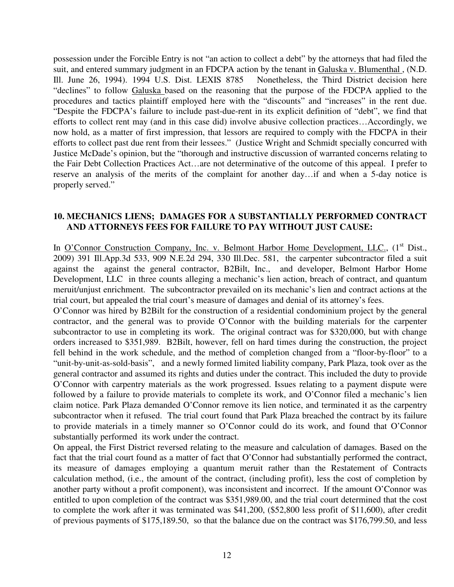possession under the Forcible Entry is not "an action to collect a debt" by the attorneys that had filed the suit, and entered summary judgment in an FDCPA action by the tenant in Galuska v. Blumenthal, (N.D. Ill. June 26, 1994). 1994 U.S. Dist. LEXIS 8785 Nonetheless, the Third District decision here "declines" to follow Galuska based on the reasoning that the purpose of the FDCPA applied to the procedures and tactics plaintiff employed here with the "discounts" and "increases" in the rent due. "Despite the FDCPA's failure to include past-due-rent in its explicit definition of "debt", we find that efforts to collect rent may (and in this case did) involve abusive collection practices…Accordingly, we now hold, as a matter of first impression, that lessors are required to comply with the FDCPA in their efforts to collect past due rent from their lessees." (Justice Wright and Schmidt specially concurred with Justice McDade's opinion, but the "thorough and instructive discussion of warranted concerns relating to the Fair Debt Collection Practices Act…are not determinative of the outcome of this appeal. I prefer to reserve an analysis of the merits of the complaint for another day…if and when a 5-day notice is properly served."

#### **10. MECHANICS LIENS; DAMAGES FOR A SUBSTANTIALLY PERFORMED CONTRACT AND ATTORNEYS FEES FOR FAILURE TO PAY WITHOUT JUST CAUSE:**

In O'Connor Construction Company, Inc. v. Belmont Harbor Home Development, LLC., (1<sup>st</sup> Dist., 2009) 391 Ill.App.3d 533, 909 N.E.2d 294, 330 Ill.Dec. 581, the carpenter subcontractor filed a suit against the against the general contractor, B2Bilt, Inc., and developer, Belmont Harbor Home Development, LLC in three counts alleging a mechanic's lien action, breach of contract, and quantum meruit/unjust enrichment. The subcontractor prevailed on its mechanic's lien and contract actions at the trial court, but appealed the trial court's measure of damages and denial of its attorney's fees.

O'Connor was hired by B2Bilt for the construction of a residential condominium project by the general contractor, and the general was to provide O'Connor with the building materials for the carpenter subcontractor to use in completing its work. The original contract was for \$320,000, but with change orders increased to \$351,989. B2Bilt, however, fell on hard times during the construction, the project fell behind in the work schedule, and the method of completion changed from a "floor-by-floor" to a "unit-by-unit-as-sold-basis", and a newly formed limited liability company, Park Plaza, took over as the general contractor and assumed its rights and duties under the contract. This included the duty to provide O'Connor with carpentry materials as the work progressed. Issues relating to a payment dispute were followed by a failure to provide materials to complete its work, and O'Connor filed a mechanic's lien claim notice. Park Plaza demanded O'Connor remove its lien notice, and terminated it as the carpentry subcontractor when it refused. The trial court found that Park Plaza breached the contract by its failure to provide materials in a timely manner so O'Connor could do its work, and found that O'Connor substantially performed its work under the contract.

On appeal, the First District reversed relating to the measure and calculation of damages. Based on the fact that the trial court found as a matter of fact that O'Connor had substantially performed the contract, its measure of damages employing a quantum meruit rather than the Restatement of Contracts calculation method, (i.e., the amount of the contract, (including profit), less the cost of completion by another party without a profit component), was inconsistent and incorrect. If the amount O'Connor was entitled to upon completion of the contract was \$351,989.00, and the trial court determined that the cost to complete the work after it was terminated was \$41,200, (\$52,800 less profit of \$11,600), after credit of previous payments of \$175,189.50, so that the balance due on the contract was \$176,799.50, and less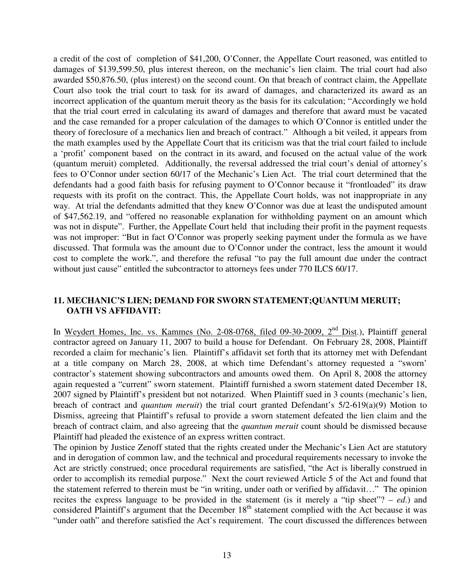a credit of the cost of completion of \$41,200, O'Conner, the Appellate Court reasoned, was entitled to damages of \$139,599.50, plus interest thereon, on the mechanic's lien claim. The trial court had also awarded \$50,876.50, (plus interest) on the second count. On that breach of contract claim, the Appellate Court also took the trial court to task for its award of damages, and characterized its award as an incorrect application of the quantum meruit theory as the basis for its calculation; "Accordingly we hold that the trial court erred in calculating its award of damages and therefore that award must be vacated and the case remanded for a proper calculation of the damages to which O'Connor is entitled under the theory of foreclosure of a mechanics lien and breach of contract." Although a bit veiled, it appears from the math examples used by the Appellate Court that its criticism was that the trial court failed to include a 'profit' component based on the contract in its award, and focused on the actual value of the work (quantum meruit) completed. Additionally, the reversal addressed the trial court's denial of attorney's fees to O'Connor under section 60/17 of the Mechanic's Lien Act. The trial court determined that the defendants had a good faith basis for refusing payment to O'Connor because it "frontloaded" its draw requests with its profit on the contract. This, the Appellate Court holds, was not inappropriate in any way. At trial the defendants admitted that they knew O'Connor was due at least the undisputed amount of \$47,562.19, and "offered no reasonable explanation for withholding payment on an amount which was not in dispute". Further, the Appellate Court held that including their profit in the payment requests was not improper: "But in fact O'Connor was properly seeking payment under the formula as we have discussed. That formula was the amount due to O'Connor under the contract, less the amount it would cost to complete the work.", and therefore the refusal "to pay the full amount due under the contract without just cause" entitled the subcontractor to attorneys fees under 770 ILCS 60/17.

## **11. MECHANIC'S LIEN; DEMAND FOR SWORN STATEMENT;QUANTUM MERUIT; OATH VS AFFIDAVIT:**

In Weydert Homes, Inc. vs. Kammes (No. 2-08-0768, filed 09-30-2009,  $2<sup>nd</sup>$  Dist.), Plaintiff general contractor agreed on January 11, 2007 to build a house for Defendant. On February 28, 2008, Plaintiff recorded a claim for mechanic's lien. Plaintiff's affidavit set forth that its attorney met with Defendant at a title company on March 28, 2008, at which time Defendant's attorney requested a "sworn' contractor's statement showing subcontractors and amounts owed them. On April 8, 2008 the attorney again requested a "current" sworn statement. Plaintiff furnished a sworn statement dated December 18, 2007 signed by Plaintiff's president but not notarized. When Plaintiff sued in 3 counts (mechanic's lien, breach of contract and *quantum meruit*) the trial court granted Defendant's 5/2-619(a)(9) Motion to Dismiss, agreeing that Plaintiff's refusal to provide a sworn statement defeated the lien claim and the breach of contract claim, and also agreeing that the *quantum meruit* count should be dismissed because Plaintiff had pleaded the existence of an express written contract.

The opinion by Justice Zenoff stated that the rights created under the Mechanic's Lien Act are statutory and in derogation of common law, and the technical and procedural requirements necessary to invoke the Act are strictly construed; once procedural requirements are satisfied, "the Act is liberally construed in order to accomplish its remedial purpose." Next the court reviewed Article 5 of the Act and found that the statement referred to therein must be "in writing, under oath or verified by affidavit…" The opinion recites the express language to be provided in the statement (is it merely a "tip sheet"? – *ed*.) and considered Plaintiff's argument that the December 18<sup>th</sup> statement complied with the Act because it was "under oath" and therefore satisfied the Act's requirement. The court discussed the differences between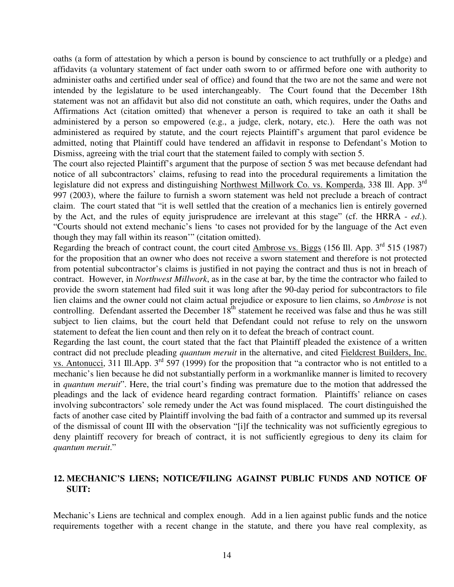oaths (a form of attestation by which a person is bound by conscience to act truthfully or a pledge) and affidavits (a voluntary statement of fact under oath sworn to or affirmed before one with authority to administer oaths and certified under seal of office) and found that the two are not the same and were not intended by the legislature to be used interchangeably. The Court found that the December 18th statement was not an affidavit but also did not constitute an oath, which requires, under the Oaths and Affirmations Act (citation omitted) that whenever a person is required to take an oath it shall be administered by a person so empowered (e.g., a judge, clerk, notary, etc.). Here the oath was not administered as required by statute, and the court rejects Plaintiff's argument that parol evidence be admitted, noting that Plaintiff could have tendered an affidavit in response to Defendant's Motion to Dismiss, agreeing with the trial court that the statement failed to comply with section 5.

The court also rejected Plaintiff's argument that the purpose of section 5 was met because defendant had notice of all subcontractors' claims, refusing to read into the procedural requirements a limitation the legislature did not express and distinguishing Northwest Millwork Co. vs. Komperda, 338 Ill. App. 3<sup>rd</sup> 997 (2003), where the failure to furnish a sworn statement was held not preclude a breach of contract claim. The court stated that "it is well settled that the creation of a mechanics lien is entirely governed by the Act, and the rules of equity jurisprudence are irrelevant at this stage" (cf. the HRRA - *ed*.). "Courts should not extend mechanic's liens 'to cases not provided for by the language of the Act even though they may fall within its reason'" (citation omitted).

Regarding the breach of contract count, the court cited Ambrose vs. Biggs (156 Ill. App.  $3^{rd}$  515 (1987) for the proposition that an owner who does not receive a sworn statement and therefore is not protected from potential subcontractor's claims is justified in not paying the contract and thus is not in breach of contract. However, in *Northwest Millwork*, as in the case at bar, by the time the contractor who failed to provide the sworn statement had filed suit it was long after the 90-day period for subcontractors to file lien claims and the owner could not claim actual prejudice or exposure to lien claims, so *Ambrose* is not controlling. Defendant asserted the December  $18<sup>th</sup>$  statement he received was false and thus he was still subject to lien claims, but the court held that Defendant could not refuse to rely on the unsworn statement to defeat the lien count and then rely on it to defeat the breach of contract count.

Regarding the last count, the court stated that the fact that Plaintiff pleaded the existence of a written contract did not preclude pleading *quantum meruit* in the alternative, and cited Fieldcrest Builders, Inc. vs. Antonucci, 311 Ill.App.  $3^{rd}$  597 (1999) for the proposition that "a contractor who is not entitled to a mechanic's lien because he did not substantially perform in a workmanlike manner is limited to recovery in *quantum meruit*". Here, the trial court's finding was premature due to the motion that addressed the pleadings and the lack of evidence heard regarding contract formation. Plaintiffs' reliance on cases involving subcontractors' sole remedy under the Act was found misplaced. The court distinguished the facts of another case cited by Plaintiff involving the bad faith of a contractor and summed up its reversal of the dismissal of count III with the observation "[i]f the technicality was not sufficiently egregious to deny plaintiff recovery for breach of contract, it is not sufficiently egregious to deny its claim for *quantum meruit*."

# **12. MECHANIC'S LIENS; NOTICE/FILING AGAINST PUBLIC FUNDS AND NOTICE OF SUIT:**

Mechanic's Liens are technical and complex enough. Add in a lien against public funds and the notice requirements together with a recent change in the statute, and there you have real complexity, as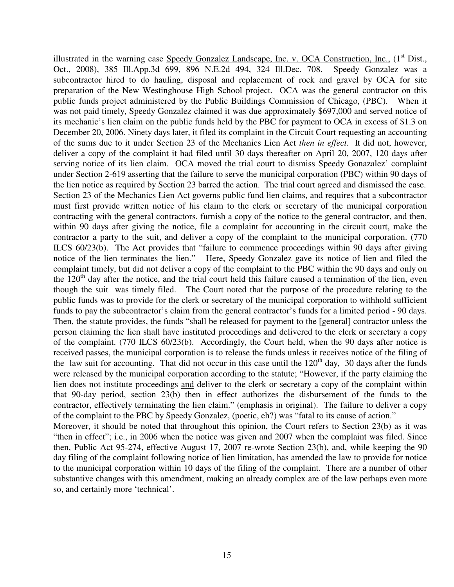illustrated in the warning case Speedy Gonzalez Landscape, Inc. v. OCA Construction, Inc., (1<sup>st</sup> Dist., Oct., 2008), 385 Ill.App.3d 699, 896 N.E.2d 494, 324 Ill.Dec. 708. Speedy Gonzalez was a subcontractor hired to do hauling, disposal and replacement of rock and gravel by OCA for site preparation of the New Westinghouse High School project. OCA was the general contractor on this public funds project administered by the Public Buildings Commission of Chicago, (PBC). When it was not paid timely, Speedy Gonzalez claimed it was due approximately \$697,000 and served notice of its mechanic's lien claim on the public funds held by the PBC for payment to OCA in excess of \$1.3 on December 20, 2006. Ninety days later, it filed its complaint in the Circuit Court requesting an accounting of the sums due to it under Section 23 of the Mechanics Lien Act *then in effect*. It did not, however, deliver a copy of the complaint it had filed until 30 days thereafter on April 20, 2007, 120 days after serving notice of its lien claim. OCA moved the trial court to dismiss Speedy Gonazalez' complaint under Section 2-619 asserting that the failure to serve the municipal corporation (PBC) within 90 days of the lien notice as required by Section 23 barred the action. The trial court agreed and dismissed the case. Section 23 of the Mechanics Lien Act governs public fund lien claims, and requires that a subcontractor must first provide written notice of his claim to the clerk or secretary of the municipal corporation contracting with the general contractors, furnish a copy of the notice to the general contractor, and then, within 90 days after giving the notice, file a complaint for accounting in the circuit court, make the contractor a party to the suit, and deliver a copy of the complaint to the municipal corporation. (770 ILCS 60/23(b). The Act provides that "failure to commence proceedings within 90 days after giving notice of the lien terminates the lien." Here, Speedy Gonzalez gave its notice of lien and filed the complaint timely, but did not deliver a copy of the complaint to the PBC within the 90 days and only on the  $120<sup>th</sup>$  day after the notice, and the trial court held this failure caused a termination of the lien, even though the suit was timely filed. The Court noted that the purpose of the procedure relating to the public funds was to provide for the clerk or secretary of the municipal corporation to withhold sufficient funds to pay the subcontractor's claim from the general contractor's funds for a limited period - 90 days. Then, the statute provides, the funds "shall be released for payment to the [general] contractor unless the person claiming the lien shall have instituted proceedings and delivered to the clerk or secretary a copy of the complaint. (770 ILCS 60/23(b). Accordingly, the Court held, when the 90 days after notice is received passes, the municipal corporation is to release the funds unless it receives notice of the filing of the law suit for accounting. That did not occur in this case until the  $120<sup>th</sup>$  day, 30 days after the funds were released by the municipal corporation according to the statute; "However, if the party claiming the lien does not institute proceedings and deliver to the clerk or secretary a copy of the complaint within that 90-day period, section 23(b) then in effect authorizes the disbursement of the funds to the contractor, effectively terminating the lien claim." (emphasis in original). The failure to deliver a copy of the complaint to the PBC by Speedy Gonzalez, (poetic, eh?) was "fatal to its cause of action."

Moreover, it should be noted that throughout this opinion, the Court refers to Section 23(b) as it was "then in effect"; i.e., in 2006 when the notice was given and 2007 when the complaint was filed. Since then, Public Act 95-274, effective August 17, 2007 re-wrote Section 23(b), and, while keeping the 90 day filing of the complaint following notice of lien limitation, has amended the law to provide for notice to the municipal corporation within 10 days of the filing of the complaint. There are a number of other substantive changes with this amendment, making an already complex are of the law perhaps even more so, and certainly more 'technical'.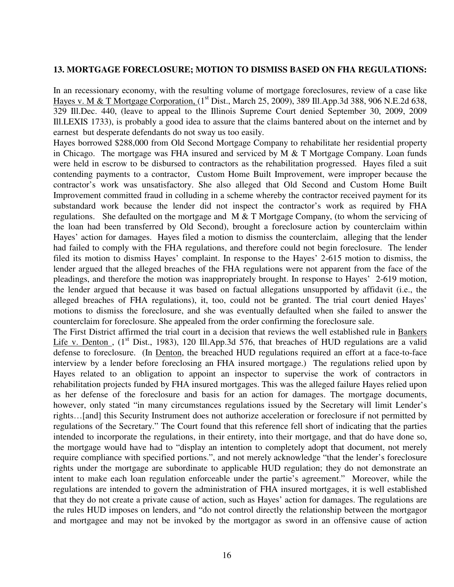#### **13. MORTGAGE FORECLOSURE; MOTION TO DISMISS BASED ON FHA REGULATIONS:**

In an recessionary economy, with the resulting volume of mortgage foreclosures, review of a case like Hayes v. M & T Mortgage Corporation, (1<sup>st</sup> Dist., March 25, 2009), 389 Ill.App.3d 388, 906 N.E.2d 638, 329 Ill.Dec. 440, (leave to appeal to the Illinois Supreme Court denied September 30, 2009, 2009 Ill.LEXIS 1733), is probably a good idea to assure that the claims bantered about on the internet and by earnest but desperate defendants do not sway us too easily.

Hayes borrowed \$288,000 from Old Second Mortgage Company to rehabilitate her residential property in Chicago. The mortgage was FHA insured and serviced by M & T Mortgage Company. Loan funds were held in escrow to be disbursed to contractors as the rehabilitation progressed. Hayes filed a suit contending payments to a contractor, Custom Home Built Improvement, were improper because the contractor's work was unsatisfactory. She also alleged that Old Second and Custom Home Built Improvement committed fraud in colluding in a scheme whereby the contractor received payment for its substandard work because the lender did not inspect the contractor's work as required by FHA regulations. She defaulted on the mortgage and M & T Mortgage Company, (to whom the servicing of the loan had been transferred by Old Second), brought a foreclosure action by counterclaim within Hayes' action for damages. Hayes filed a motion to dismiss the counterclaim, alleging that the lender had failed to comply with the FHA regulations, and therefore could not begin foreclosure. The lender filed its motion to dismiss Hayes' complaint. In response to the Hayes' 2-615 motion to dismiss, the lender argued that the alleged breaches of the FHA regulations were not apparent from the face of the pleadings, and therefore the motion was inappropriately brought. In response to Hayes' 2-619 motion, the lender argued that because it was based on factual allegations unsupported by affidavit (i.e., the alleged breaches of FHA regulations), it, too, could not be granted. The trial court denied Hayes' motions to dismiss the foreclosure, and she was eventually defaulted when she failed to answer the counterclaim for foreclosure. She appealed from the order confirming the foreclosure sale.

The First District affirmed the trial court in a decision that reviews the well established rule in Bankers Life v. Denton,  $(1^{st}$  Dist., 1983), 120 Ill.App.3d 576, that breaches of HUD regulations are a valid defense to foreclosure. (In Denton, the breached HUD regulations required an effort at a face-to-face interview by a lender before foreclosing an FHA insured mortgage.) The regulations relied upon by Hayes related to an obligation to appoint an inspector to supervise the work of contractors in rehabilitation projects funded by FHA insured mortgages. This was the alleged failure Hayes relied upon as her defense of the foreclosure and basis for an action for damages. The mortgage documents, however, only stated "in many circumstances regulations issued by the Secretary will limit Lender's rights…[and] this Security Instrument does not authorize acceleration or foreclosure if not permitted by regulations of the Secretary." The Court found that this reference fell short of indicating that the parties intended to incorporate the regulations, in their entirety, into their mortgage, and that do have done so, the mortgage would have had to "display an intention to completely adopt that document, not merely require compliance with specified portions.", and not merely acknowledge "that the lender's foreclosure rights under the mortgage are subordinate to applicable HUD regulation; they do not demonstrate an intent to make each loan regulation enforceable under the partie's agreement." Moreover, while the regulations are intended to govern the administration of FHA insured mortgages, it is well established that they do not create a private cause of action, such as Hayes' action for damages. The regulations are the rules HUD imposes on lenders, and "do not control directly the relationship between the mortgagor and mortgagee and may not be invoked by the mortgagor as sword in an offensive cause of action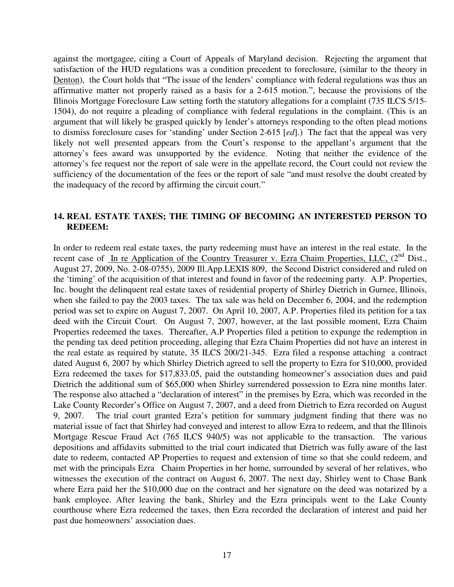against the mortgagee, citing a Court of Appeals of Maryland decision. Rejecting the argument that satisfaction of the HUD regulations was a condition precedent to foreclosure, (similar to the theory in Denton), the Court holds that "The issue of the lenders' compliance with federal regulations was thus an affirmative matter not properly raised as a basis for a 2-615 motion.", because the provisions of the Illinois Mortgage Foreclosure Law setting forth the statutory allegations for a complaint (735 ILCS 5/15- 1504), do not require a pleading of compliance with federal regulations in the complaint. (This is an argument that will likely be grasped quickly by lender's attorneys responding to the often plead motions to dismiss foreclosure cases for 'standing' under Section 2-615 [*ed*].) The fact that the appeal was very likely not well presented appears from the Court's response to the appellant's argument that the attorney's fees award was unsupported by the evidence. Noting that neither the evidence of the attorney's fee request nor the report of sale were in the appellate record, the Court could not review the sufficiency of the documentation of the fees or the report of sale "and must resolve the doubt created by the inadequacy of the record by affirming the circuit court."

#### **14. REAL ESTATE TAXES; THE TIMING OF BECOMING AN INTERESTED PERSON TO REDEEM:**

In order to redeem real estate taxes, the party redeeming must have an interest in the real estate. In the recent case of In re Application of the Country Treasurer v. Ezra Chaim Properties, LLC, (2<sup>nd</sup> Dist., August 27, 2009, No. 2-08-0755), 2009 Ill.App.LEXIS 809, the Second District considered and ruled on the 'timing' of the acquisition of that interest and found in favor of the redeeming party. A.P. Properties, Inc. bought the delinquent real estate taxes of residential property of Shirley Dietrich in Gurnee, Illinois, when she failed to pay the 2003 taxes. The tax sale was held on December 6, 2004, and the redemption period was set to expire on August 7, 2007. On April 10, 2007, A.P. Properties filed its petition for a tax deed with the Circuit Court. On August 7, 2007, however, at the last possible moment, Ezra Chaim Properties redeemed the taxes. Thereafter, A.P Properties filed a petition to expunge the redemption in the pending tax deed petition proceeding, alleging that Ezra Chaim Properties did not have an interest in the real estate as required by statute, 35 ILCS 200/21-345. Ezra filed a response attaching a contract dated August 6, 2007 by which Shirley Dietrich agreed to sell the property to Ezra for \$10,000, provided Ezra redeemed the taxes for \$17,833.05, paid the outstanding homeowner's association dues and paid Dietrich the additional sum of \$65,000 when Shirley surrendered possession to Ezra nine months later. The response also attached a "declaration of interest" in the premises by Ezra, which was recorded in the Lake County Recorder's Office on August 7, 2007, and a deed from Dietrich to Ezra recorded on August 9, 2007. The trial court granted Ezra's petition for summary judgment finding that there was no material issue of fact that Shirley had conveyed and interest to allow Ezra to redeem, and that the Illinois Mortgage Rescue Fraud Act (765 ILCS 940/5) was not applicable to the transaction. The various depositions and affidavits submitted to the trial court indicated that Dietrich was fully aware of the last date to redeem, contacted AP Properties to request and extension of time so that she could redeem, and met with the principals Ezra Chaim Properties in her home, surrounded by several of her relatives, who witnesses the execution of the contract on August 6, 2007. The next day, Shirley went to Chase Bank where Ezra paid her the \$10,000 due on the contract and her signature on the deed was notarized by a bank employee. After leaving the bank, Shirley and the Ezra principals went to the Lake County courthouse where Ezra redeemed the taxes, then Ezra recorded the declaration of interest and paid her past due homeowners' association dues.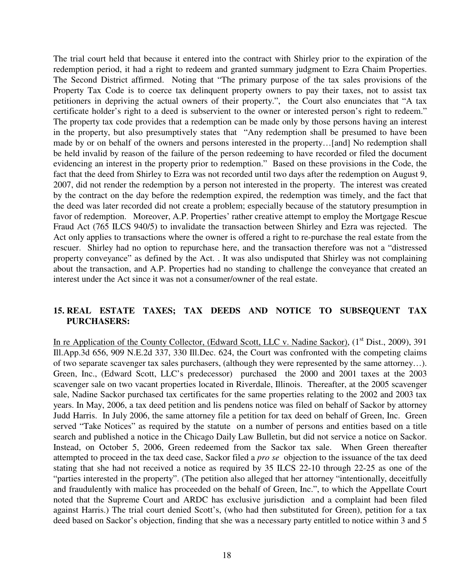The trial court held that because it entered into the contract with Shirley prior to the expiration of the redemption period, it had a right to redeem and granted summary judgment to Ezra Chaim Properties. The Second District affirmed. Noting that "The primary purpose of the tax sales provisions of the Property Tax Code is to coerce tax delinquent property owners to pay their taxes, not to assist tax petitioners in depriving the actual owners of their property.", the Court also enunciates that "A tax certificate holder's right to a deed is subservient to the owner or interested person's right to redeem." The property tax code provides that a redemption can be made only by those persons having an interest in the property, but also presumptively states that "Any redemption shall be presumed to have been made by or on behalf of the owners and persons interested in the property…[and] No redemption shall be held invalid by reason of the failure of the person redeeming to have recorded or filed the document evidencing an interest in the property prior to redemption." Based on these provisions in the Code, the fact that the deed from Shirley to Ezra was not recorded until two days after the redemption on August 9, 2007, did not render the redemption by a person not interested in the property. The interest was created by the contract on the day before the redemption expired, the redemption was timely, and the fact that the deed was later recorded did not create a problem; especially because of the statutory presumption in favor of redemption. Moreover, A.P. Properties' rather creative attempt to employ the Mortgage Rescue Fraud Act (765 ILCS 940/5) to invalidate the transaction between Shirley and Ezra was rejected. The Act only applies to transactions where the owner is offered a right to re-purchase the real estate from the rescuer. Shirley had no option to repurchase here, and the transaction therefore was not a "distressed property conveyance" as defined by the Act. . It was also undisputed that Shirley was not complaining about the transaction, and A.P. Properties had no standing to challenge the conveyance that created an interest under the Act since it was not a consumer/owner of the real estate.

## **15. REAL ESTATE TAXES; TAX DEEDS AND NOTICE TO SUBSEQUENT TAX PURCHASERS:**

In re Application of the County Collector, (Edward Scott, LLC v. Nadine Sackor), (1<sup>st</sup> Dist., 2009), 391 Ill.App.3d 656, 909 N.E.2d 337, 330 Ill.Dec. 624, the Court was confronted with the competing claims of two separate scavenger tax sales purchasers, (although they were represented by the same attorney…). Green, Inc., (Edward Scott, LLC's predecessor) purchased the 2000 and 2001 taxes at the 2003 scavenger sale on two vacant properties located in Riverdale, Illinois. Thereafter, at the 2005 scavenger sale, Nadine Sackor purchased tax certificates for the same properties relating to the 2002 and 2003 tax years. In May, 2006, a tax deed petition and lis pendens notice was filed on behalf of Sackor by attorney Judd Harris. In July 2006, the same attorney file a petition for tax deed on behalf of Green, Inc. Green served "Take Notices" as required by the statute on a number of persons and entities based on a title search and published a notice in the Chicago Daily Law Bulletin, but did not service a notice on Sackor. Instead, on October 5, 2006, Green redeemed from the Sackor tax sale. When Green thereafter attempted to proceed in the tax deed case, Sackor filed a *pro se* objection to the issuance of the tax deed stating that she had not received a notice as required by 35 ILCS 22-10 through 22-25 as one of the "parties interested in the property". (The petition also alleged that her attorney "intentionally, deceitfully and fraudulently with malice has proceeded on the behalf of Green, Inc.", to which the Appellate Court noted that the Supreme Court and ARDC has exclusive jurisdiction and a complaint had been filed against Harris.) The trial court denied Scott's, (who had then substituted for Green), petition for a tax deed based on Sackor's objection, finding that she was a necessary party entitled to notice within 3 and 5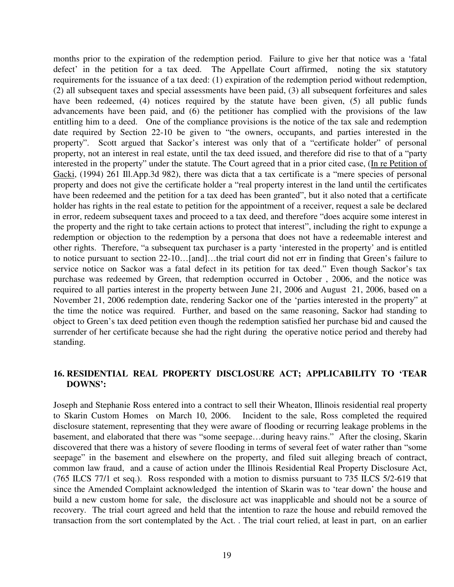months prior to the expiration of the redemption period. Failure to give her that notice was a 'fatal defect' in the petition for a tax deed. The Appellate Court affirmed, noting the six statutory requirements for the issuance of a tax deed: (1) expiration of the redemption period without redemption, (2) all subsequent taxes and special assessments have been paid, (3) all subsequent forfeitures and sales have been redeemed, (4) notices required by the statute have been given, (5) all public funds advancements have been paid, and (6) the petitioner has complied with the provisions of the law entitling him to a deed. One of the compliance provisions is the notice of the tax sale and redemption date required by Section 22-10 be given to "the owners, occupants, and parties interested in the property". Scott argued that Sackor's interest was only that of a "certificate holder" of personal property, not an interest in real estate, until the tax deed issued, and therefore did rise to that of a "party interested in the property" under the statute. The Court agreed that in a prior cited case, (In re Petition of Gacki, (1994) 261 Ill.App.3d 982), there was dicta that a tax certificate is a "mere species of personal property and does not give the certificate holder a "real property interest in the land until the certificates have been redeemed and the petition for a tax deed has been granted", but it also noted that a certificate holder has rights in the real estate to petition for the appointment of a receiver, request a sale be declared in error, redeem subsequent taxes and proceed to a tax deed, and therefore "does acquire some interest in the property and the right to take certain actions to protect that interest", including the right to expunge a redemption or objection to the redemption by a persona that does not have a redeemable interest and other rights. Therefore, "a subsequent tax purchaser is a party 'interested in the property' and is entitled to notice pursuant to section 22-10…[and]…the trial court did not err in finding that Green's failure to service notice on Sackor was a fatal defect in its petition for tax deed." Even though Sackor's tax purchase was redeemed by Green, that redemption occurred in October , 2006, and the notice was required to all parties interest in the property between June 21, 2006 and August 21, 2006, based on a November 21, 2006 redemption date, rendering Sackor one of the 'parties interested in the property" at the time the notice was required. Further, and based on the same reasoning, Sackor had standing to object to Green's tax deed petition even though the redemption satisfied her purchase bid and caused the surrender of her certificate because she had the right during the operative notice period and thereby had standing.

## **16. RESIDENTIAL REAL PROPERTY DISCLOSURE ACT; APPLICABILITY TO 'TEAR DOWNS':**

Joseph and Stephanie Ross entered into a contract to sell their Wheaton, Illinois residential real property to Skarin Custom Homes on March 10, 2006. Incident to the sale, Ross completed the required disclosure statement, representing that they were aware of flooding or recurring leakage problems in the basement, and elaborated that there was "some seepage…during heavy rains." After the closing, Skarin discovered that there was a history of severe flooding in terms of several feet of water rather than "some seepage" in the basement and elsewhere on the property, and filed suit alleging breach of contract, common law fraud, and a cause of action under the Illinois Residential Real Property Disclosure Act, (765 ILCS 77/1 et seq.). Ross responded with a motion to dismiss pursuant to 735 ILCS 5/2-619 that since the Amended Complaint acknowledged the intention of Skarin was to 'tear down' the house and build a new custom home for sale, the disclosure act was inapplicable and should not be a source of recovery. The trial court agreed and held that the intention to raze the house and rebuild removed the transaction from the sort contemplated by the Act. . The trial court relied, at least in part, on an earlier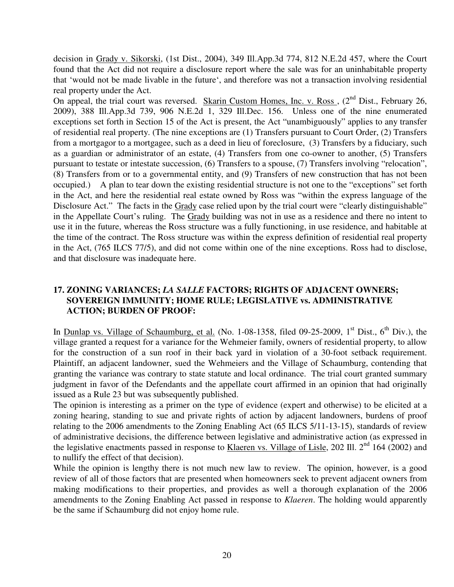decision in Grady v. Sikorski, (1st Dist., 2004), 349 Ill.App.3d 774, 812 N.E.2d 457, where the Court found that the Act did not require a disclosure report where the sale was for an uninhabitable property that 'would not be made livable in the future', and therefore was not a transaction involving residential real property under the Act.

On appeal, the trial court was reversed. Skarin Custom Homes, Inc. v. Ross,  $(2^{nd}$  Dist., February 26, 2009), 388 Ill.App.3d 739, 906 N.E.2d 1, 329 Ill.Dec. 156. Unless one of the nine enumerated exceptions set forth in Section 15 of the Act is present, the Act "unambiguously" applies to any transfer of residential real property. (The nine exceptions are (1) Transfers pursuant to Court Order, (2) Transfers from a mortgagor to a mortgagee, such as a deed in lieu of foreclosure, (3) Transfers by a fiduciary, such as a guardian or administrator of an estate, (4) Transfers from one co-owner to another, (5) Transfers pursuant to testate or intestate succession, (6) Transfers to a spouse, (7) Transfers involving "relocation", (8) Transfers from or to a governmental entity, and (9) Transfers of new construction that has not been occupied.) A plan to tear down the existing residential structure is not one to the "exceptions" set forth in the Act, and here the residential real estate owned by Ross was "within the express language of the Disclosure Act." The facts in the Grady case relied upon by the trial court were "clearly distinguishable" in the Appellate Court's ruling. The Grady building was not in use as a residence and there no intent to use it in the future, whereas the Ross structure was a fully functioning, in use residence, and habitable at the time of the contract. The Ross structure was within the express definition of residential real property in the Act, (765 ILCS 77/5), and did not come within one of the nine exceptions. Ross had to disclose, and that disclosure was inadequate here.

# **17. ZONING VARIANCES;** *LA SALLE* **FACTORS; RIGHTS OF ADJACENT OWNERS; SOVEREIGN IMMUNITY; HOME RULE; LEGISLATIVE vs. ADMINISTRATIVE ACTION; BURDEN OF PROOF:**

In Dunlap vs. Village of Schaumburg, et al. (No. 1-08-1358, filed 09-25-2009,  $1<sup>st</sup>$  Dist.,  $6<sup>th</sup>$  Div.), the village granted a request for a variance for the Wehmeier family, owners of residential property, to allow for the construction of a sun roof in their back yard in violation of a 30-foot setback requirement. Plaintiff, an adjacent landowner, sued the Wehmeiers and the Village of Schaumburg, contending that granting the variance was contrary to state statute and local ordinance. The trial court granted summary judgment in favor of the Defendants and the appellate court affirmed in an opinion that had originally issued as a Rule 23 but was subsequently published.

The opinion is interesting as a primer on the type of evidence (expert and otherwise) to be elicited at a zoning hearing, standing to sue and private rights of action by adjacent landowners, burdens of proof relating to the 2006 amendments to the Zoning Enabling Act (65 ILCS 5/11-13-15), standards of review of administrative decisions, the difference between legislative and administrative action (as expressed in the legislative enactments passed in response to Klaeren vs. Village of Lisle, 202 Ill.  $2<sup>nd</sup> 164 (2002)$  and to nullify the effect of that decision).

While the opinion is lengthy there is not much new law to review. The opinion, however, is a good review of all of those factors that are presented when homeowners seek to prevent adjacent owners from making modifications to their properties, and provides as well a thorough explanation of the 2006 amendments to the Zoning Enabling Act passed in response to *Klaeren*. The holding would apparently be the same if Schaumburg did not enjoy home rule.